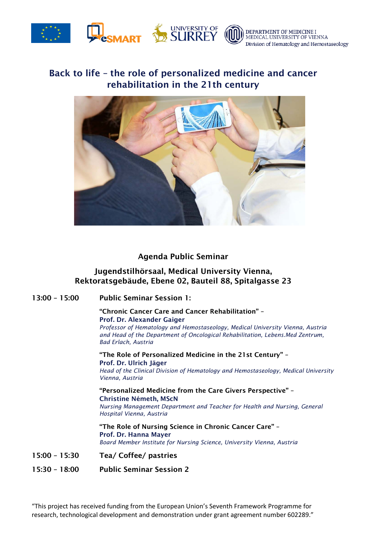

#### DEPARTMENT OF MEDICINE I MEDICAL UNIVERSITY OF VIENNA Division of Hematology and Hemostaseology

# Back to life – the role of personalized medicine and cancer rehabilitation in the 21th century



## Agenda Public Seminar

## Jugendstilhörsaal, Medical University Vienna, Rektoratsgebäude, Ebene 02, Bauteil 88, Spitalgasse 23

13:00 – 15:00 Public Seminar Session 1:

#### "Chronic Cancer Care and Cancer Rehabilitation" – Prof. Dr. Alexander Gaiger

*Professor of Hematology and Hemostaseology, Medical University Vienna, Austria and Head of the Department of Oncological Rehabilitation, Lebens.Med Zentrum, Bad Erlach, Austria*

### "The Role of Personalized Medicine in the 21st Century" – Prof. Dr. Ulrich Jäger

*Head of the Clinical Division of Hematology and Hemostaseology, Medical University Vienna, Austria*

## "Personalized Medicine from the Care Givers Perspective" – Christine Németh, MScN

*Nursing Management Department and Teacher for Health and Nursing, General Hospital Vienna, Austria*

## "The Role of Nursing Science in Chronic Cancer Care" – Prof. Dr. Hanna Mayer *Board Member Institute for Nursing Science, University Vienna, Austria*

15:00 – 15:30 Tea/ Coffee/ pastries

15:30 – 18:00 Public Seminar Session 2